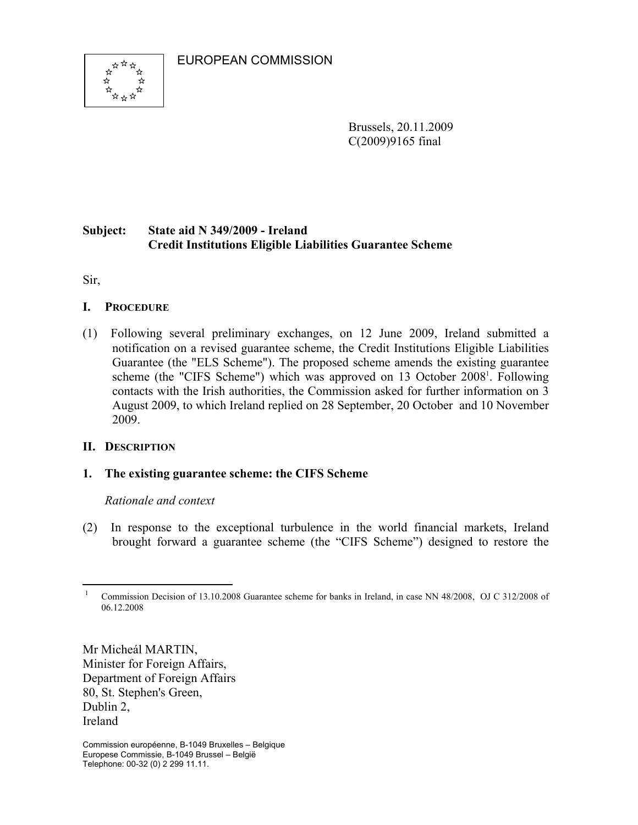EUROPEAN COMMISSION



Brussels, 20.11.2009 C(2009)9165 final

# **Subject: State aid N 349/2009 - Ireland Credit Institutions Eligible Liabilities Guarantee Scheme**

Sir,

## **I. PROCEDURE**

(1) Following several preliminary exchanges, on 12 June 2009, Ireland submitted a notification on a revised guarantee scheme, the Credit Institutions Eligible Liabilities Guarantee (the "ELS Scheme"). The proposed scheme amends the existing guarantee scheme (the "CIFS Scheme") which was approved on 13 October 2008<sup>1</sup>. Following contacts with the Irish authorities, the Commission asked for further information on 3 August 2009, to which Ireland replied on 28 September, 20 October and 10 November 2009.

## **II. DESCRIPTION**

## **1. The existing guarantee scheme: the CIFS Scheme**

## *Rationale and context*

(2) In response to the exceptional turbulence in the world financial markets, Ireland brought forward a guarantee scheme (the "CIFS Scheme") designed to restore the

Mr Micheál MARTIN, Minister for Foreign Affairs, Department of Foreign Affairs 80, St. Stephen's Green, Dublin 2, Ireland

 $\overline{a}$ 1 Commission Decision of 13.10.2008 Guarantee scheme for banks in Ireland, in case NN 48/2008, OJ C 312/2008 of 06.12.2008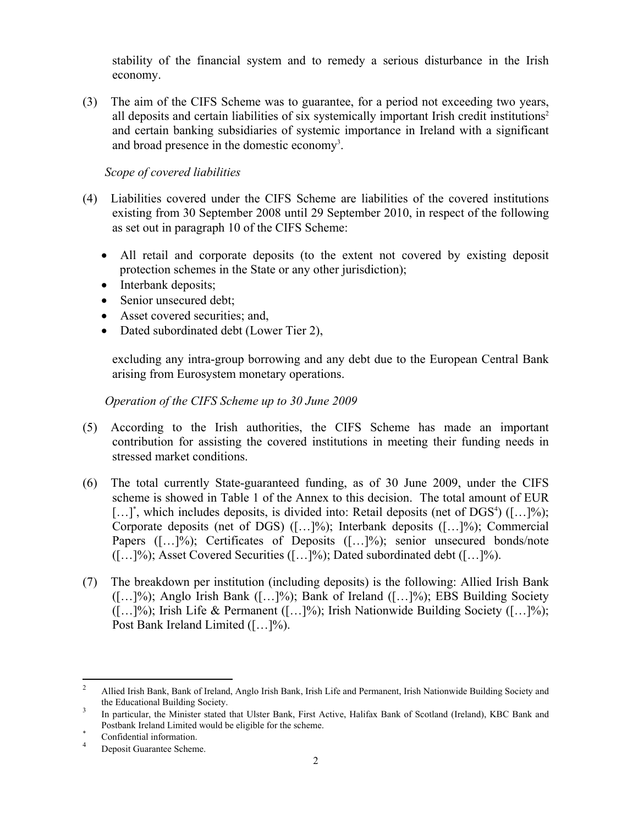stability of the financial system and to remedy a serious disturbance in the Irish economy.

(3) The aim of the CIFS Scheme was to guarantee, for a period not exceeding two years, all deposits and certain liabilities of six systemically important Irish credit institutions<sup>2</sup> and certain banking subsidiaries of systemic importance in Ireland with a significant and broad presence in the domestic economy<sup>3</sup>.

*Scope of covered liabilities* 

- (4) Liabilities covered under the CIFS Scheme are liabilities of the covered institutions existing from 30 September 2008 until 29 September 2010, in respect of the following as set out in paragraph 10 of the CIFS Scheme:
	- All retail and corporate deposits (to the extent not covered by existing deposit protection schemes in the State or any other jurisdiction);
	- Interbank deposits;
	- Senior unsecured debt:
	- Asset covered securities; and,
	- Dated subordinated debt (Lower Tier 2),

excluding any intra-group borrowing and any debt due to the European Central Bank arising from Eurosystem monetary operations.

*Operation of the CIFS Scheme up to 30 June 2009* 

- (5) According to the Irish authorities, the CIFS Scheme has made an important contribution for assisting the covered institutions in meeting their funding needs in stressed market conditions.
- (6) The total currently State-guaranteed funding, as of 30 June 2009, under the CIFS scheme is showed in Table 1 of the Annex to this decision. The total amount of EUR  $[...]^*$ , which includes deposits, is divided into: Retail deposits (net of DGS<sup>4</sup>)  $([...]%);$ Corporate deposits (net of DGS) ([…]%); Interbank deposits ([…]%); Commercial Papers ([...]%); Certificates of Deposits ([...]%); senior unsecured bonds/note ([…]%); Asset Covered Securities ([…]%); Dated subordinated debt ([…]%).
- (7) The breakdown per institution (including deposits) is the following: Allied Irish Bank  $([-1.1]\%)$ ; Anglo Irish Bank  $([-1.1]\%)$ ; Bank of Ireland  $([-1.1]\%)$ ; EBS Building Society  $([-1.1\%)]$ ; Irish Life & Permanent  $([-1.1\%)]$ ; Irish Nationwide Building Society  $([-1.1\%)]$ ; Post Bank Ireland Limited ([…]%).

 $\frac{1}{2}$  Allied Irish Bank, Bank of Ireland, Anglo Irish Bank, Irish Life and Permanent, Irish Nationwide Building Society and the Educational Building Society.

In particular, the Minister stated that Ulster Bank, First Active, Halifax Bank of Scotland (Ireland), KBC Bank and Postbank Ireland Limited would be eligible for the scheme. \*

Confidential information.

<sup>4</sup> Deposit Guarantee Scheme.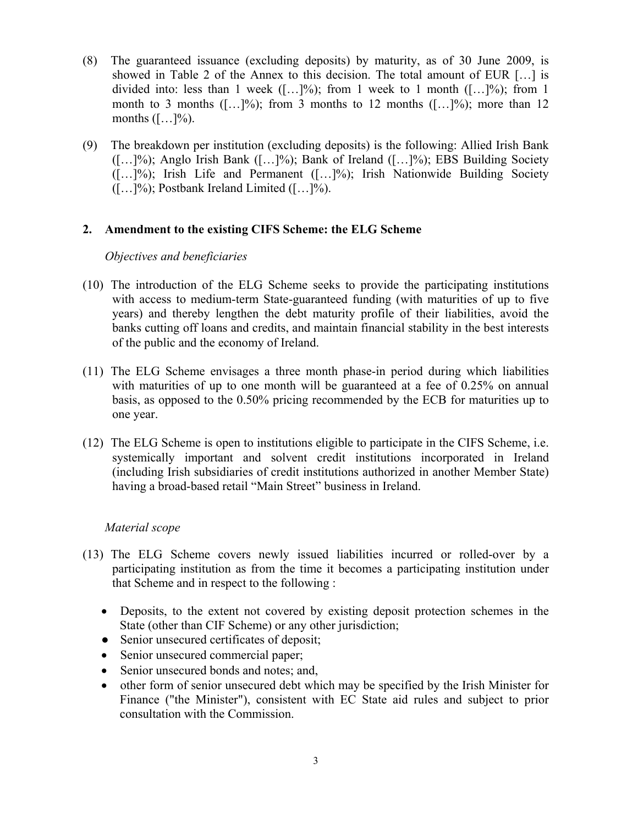- (8) The guaranteed issuance (excluding deposits) by maturity, as of 30 June 2009, is showed in Table 2 of the Annex to this decision. The total amount of EUR […] is divided into: less than 1 week  $([-+]%);$  from 1 week to 1 month  $([-...]%);$  from 1 month to 3 months  $([-1, 1]\%)$ ; from 3 months to 12 months  $([-1, 1]\%)$ ; more than 12 months  $([-..]^{\%})$ .
- (9) The breakdown per institution (excluding deposits) is the following: Allied Irish Bank  $([-1.1]\%)$ ; Anglo Irish Bank  $([-1.1]\%)$ ; Bank of Ireland  $([-1.1]\%)$ ; EBS Building Society  $([-1.1]\%)$ ; Irish Life and Permanent  $([-1.1]\%)$ ; Irish Nationwide Building Society  $([-...]%);$  Postbank Ireland Limited  $([-...]%).$

### **2. Amendment to the existing CIFS Scheme: the ELG Scheme**

### *Objectives and beneficiaries*

- (10) The introduction of the ELG Scheme seeks to provide the participating institutions with access to medium-term State-guaranteed funding (with maturities of up to five years) and thereby lengthen the debt maturity profile of their liabilities, avoid the banks cutting off loans and credits, and maintain financial stability in the best interests of the public and the economy of Ireland.
- (11) The ELG Scheme envisages a three month phase-in period during which liabilities with maturities of up to one month will be guaranteed at a fee of 0.25% on annual basis, as opposed to the 0.50% pricing recommended by the ECB for maturities up to one year.
- (12) The ELG Scheme is open to institutions eligible to participate in the CIFS Scheme, i.e. systemically important and solvent credit institutions incorporated in Ireland (including Irish subsidiaries of credit institutions authorized in another Member State) having a broad-based retail "Main Street" business in Ireland.

### *Material scope*

- (13) The ELG Scheme covers newly issued liabilities incurred or rolled-over by a participating institution as from the time it becomes a participating institution under that Scheme and in respect to the following :
	- Deposits, to the extent not covered by existing deposit protection schemes in the State (other than CIF Scheme) or any other jurisdiction;
	- Senior unsecured certificates of deposit;
	- Senior unsecured commercial paper;
	- Senior unsecured bonds and notes; and,
	- other form of senior unsecured debt which may be specified by the Irish Minister for Finance ("the Minister"), consistent with EC State aid rules and subject to prior consultation with the Commission.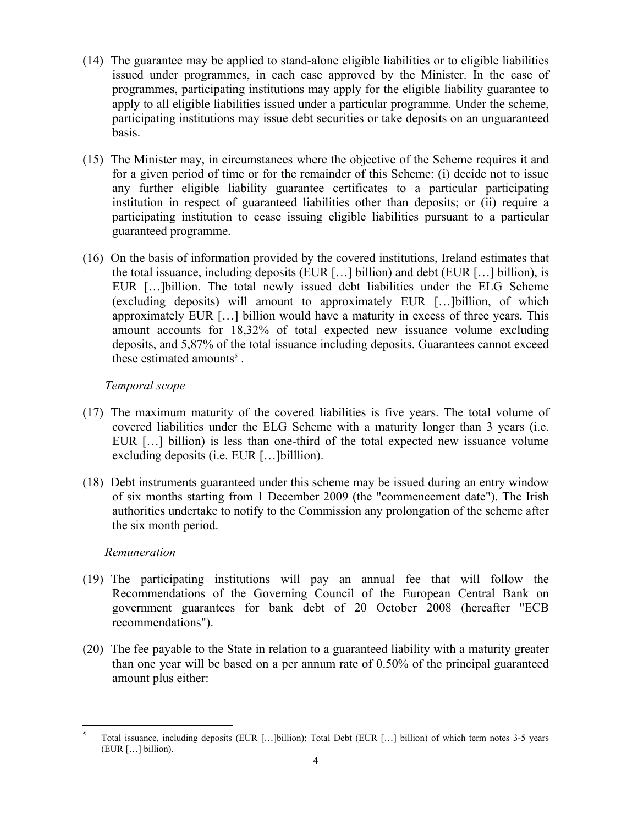- (14) The guarantee may be applied to stand-alone eligible liabilities or to eligible liabilities issued under programmes, in each case approved by the Minister. In the case of programmes, participating institutions may apply for the eligible liability guarantee to apply to all eligible liabilities issued under a particular programme. Under the scheme, participating institutions may issue debt securities or take deposits on an unguaranteed basis.
- (15) The Minister may, in circumstances where the objective of the Scheme requires it and for a given period of time or for the remainder of this Scheme: (i) decide not to issue any further eligible liability guarantee certificates to a particular participating institution in respect of guaranteed liabilities other than deposits; or (ii) require a participating institution to cease issuing eligible liabilities pursuant to a particular guaranteed programme.
- (16) On the basis of information provided by the covered institutions, Ireland estimates that the total issuance, including deposits (EUR […] billion) and debt (EUR […] billion), is EUR […]billion. The total newly issued debt liabilities under the ELG Scheme (excluding deposits) will amount to approximately EUR […]billion, of which approximately EUR […] billion would have a maturity in excess of three years. This amount accounts for 18,32% of total expected new issuance volume excluding deposits, and 5,87% of the total issuance including deposits. Guarantees cannot exceed these estimated amounts<sup>5</sup>.

### *Temporal scope*

- (17) The maximum maturity of the covered liabilities is five years. The total volume of covered liabilities under the ELG Scheme with a maturity longer than 3 years (i.e. EUR […] billion) is less than one-third of the total expected new issuance volume excluding deposits (i.e. EUR […]billlion).
- (18) Debt instruments guaranteed under this scheme may be issued during an entry window of six months starting from 1 December 2009 (the "commencement date"). The Irish authorities undertake to notify to the Commission any prolongation of the scheme after the six month period.

### *Remuneration*

- (19) The participating institutions will pay an annual fee that will follow the Recommendations of the Governing Council of the European Central Bank on government guarantees for bank debt of 20 October 2008 (hereafter "ECB recommendations").
- (20) The fee payable to the State in relation to a guaranteed liability with a maturity greater than one year will be based on a per annum rate of 0.50% of the principal guaranteed amount plus either:

 5 Total issuance, including deposits (EUR […]billion); Total Debt (EUR […] billion) of which term notes 3-5 years (EUR […] billion).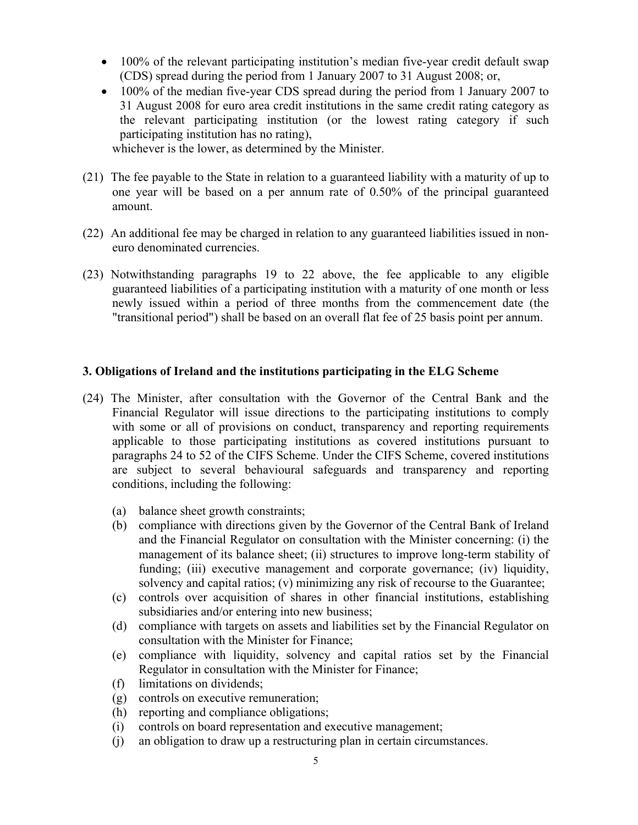- 100% of the relevant participating institution's median five-year credit default swap (CDS) spread during the period from 1 January 2007 to 31 August 2008; or,
- 100% of the median five-year CDS spread during the period from 1 January 2007 to 31 August 2008 for euro area credit institutions in the same credit rating category as the relevant participating institution (or the lowest rating category if such participating institution has no rating),

whichever is the lower, as determined by the Minister.

- (21) The fee payable to the State in relation to a guaranteed liability with a maturity of up to one year will be based on a per annum rate of 0.50% of the principal guaranteed amount.
- (22) An additional fee may be charged in relation to any guaranteed liabilities issued in noneuro denominated currencies.
- (23) Notwithstanding paragraphs 19 to 22 above, the fee applicable to any eligible guaranteed liabilities of a participating institution with a maturity of one month or less newly issued within a period of three months from the commencement date (the "transitional period") shall be based on an overall flat fee of 25 basis point per annum.

### **3. Obligations of Ireland and the institutions participating in the ELG Scheme**

- (24) The Minister, after consultation with the Governor of the Central Bank and the Financial Regulator will issue directions to the participating institutions to comply with some or all of provisions on conduct, transparency and reporting requirements applicable to those participating institutions as covered institutions pursuant to paragraphs 24 to 52 of the CIFS Scheme. Under the CIFS Scheme, covered institutions are subject to several behavioural safeguards and transparency and reporting conditions, including the following:
	- (a) balance sheet growth constraints;
	- (b) compliance with directions given by the Governor of the Central Bank of Ireland and the Financial Regulator on consultation with the Minister concerning: (i) the management of its balance sheet; (ii) structures to improve long-term stability of funding; (iii) executive management and corporate governance; (iv) liquidity, solvency and capital ratios; (v) minimizing any risk of recourse to the Guarantee;
	- (c) controls over acquisition of shares in other financial institutions, establishing subsidiaries and/or entering into new business;
	- (d) compliance with targets on assets and liabilities set by the Financial Regulator on consultation with the Minister for Finance;
	- (e) compliance with liquidity, solvency and capital ratios set by the Financial Regulator in consultation with the Minister for Finance;
	- (f) limitations on dividends;
	- (g) controls on executive remuneration;
	- (h) reporting and compliance obligations;
	- (i) controls on board representation and executive management;
	- (j) an obligation to draw up a restructuring plan in certain circumstances.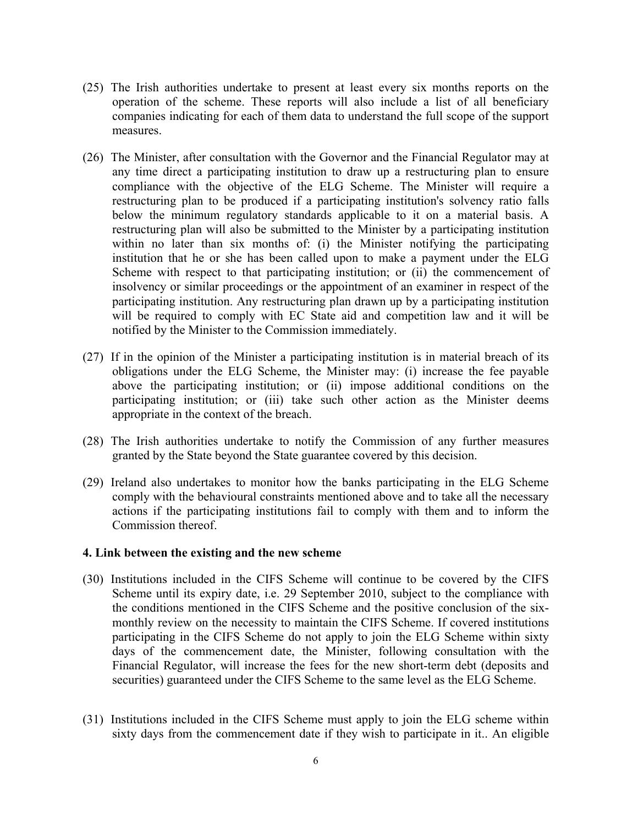- (25) The Irish authorities undertake to present at least every six months reports on the operation of the scheme. These reports will also include a list of all beneficiary companies indicating for each of them data to understand the full scope of the support measures.
- (26) The Minister, after consultation with the Governor and the Financial Regulator may at any time direct a participating institution to draw up a restructuring plan to ensure compliance with the objective of the ELG Scheme. The Minister will require a restructuring plan to be produced if a participating institution's solvency ratio falls below the minimum regulatory standards applicable to it on a material basis. A restructuring plan will also be submitted to the Minister by a participating institution within no later than six months of: (i) the Minister notifying the participating institution that he or she has been called upon to make a payment under the ELG Scheme with respect to that participating institution; or (ii) the commencement of insolvency or similar proceedings or the appointment of an examiner in respect of the participating institution. Any restructuring plan drawn up by a participating institution will be required to comply with EC State aid and competition law and it will be notified by the Minister to the Commission immediately.
- (27) If in the opinion of the Minister a participating institution is in material breach of its obligations under the ELG Scheme, the Minister may: (i) increase the fee payable above the participating institution; or (ii) impose additional conditions on the participating institution; or (iii) take such other action as the Minister deems appropriate in the context of the breach.
- (28) The Irish authorities undertake to notify the Commission of any further measures granted by the State beyond the State guarantee covered by this decision.
- (29) Ireland also undertakes to monitor how the banks participating in the ELG Scheme comply with the behavioural constraints mentioned above and to take all the necessary actions if the participating institutions fail to comply with them and to inform the Commission thereof.

#### **4. Link between the existing and the new scheme**

- (30) Institutions included in the CIFS Scheme will continue to be covered by the CIFS Scheme until its expiry date, i.e. 29 September 2010, subject to the compliance with the conditions mentioned in the CIFS Scheme and the positive conclusion of the sixmonthly review on the necessity to maintain the CIFS Scheme. If covered institutions participating in the CIFS Scheme do not apply to join the ELG Scheme within sixty days of the commencement date, the Minister, following consultation with the Financial Regulator, will increase the fees for the new short-term debt (deposits and securities) guaranteed under the CIFS Scheme to the same level as the ELG Scheme.
- (31) Institutions included in the CIFS Scheme must apply to join the ELG scheme within sixty days from the commencement date if they wish to participate in it.. An eligible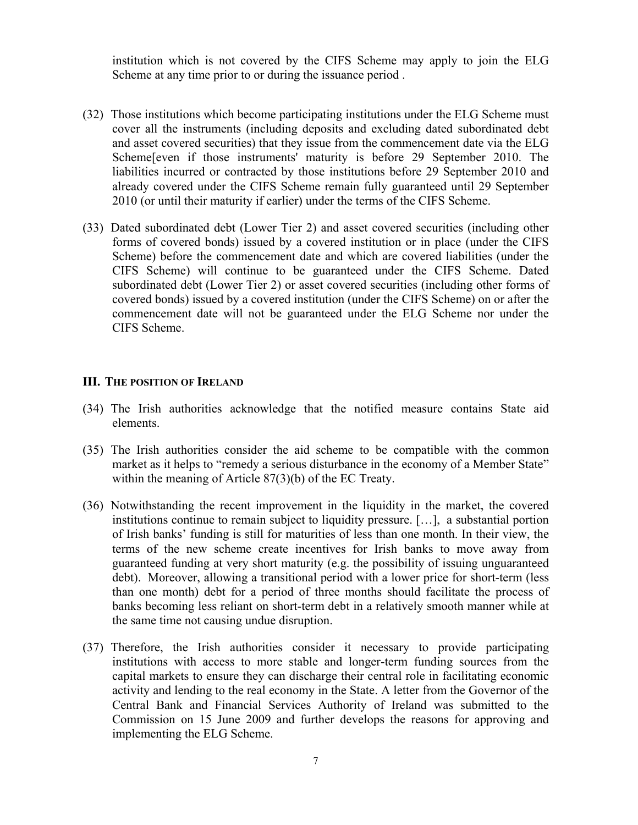institution which is not covered by the CIFS Scheme may apply to join the ELG Scheme at any time prior to or during the issuance period .

- (32) Those institutions which become participating institutions under the ELG Scheme must cover all the instruments (including deposits and excluding dated subordinated debt and asset covered securities) that they issue from the commencement date via the ELG Scheme[even if those instruments' maturity is before 29 September 2010. The liabilities incurred or contracted by those institutions before 29 September 2010 and already covered under the CIFS Scheme remain fully guaranteed until 29 September 2010 (or until their maturity if earlier) under the terms of the CIFS Scheme.
- (33) Dated subordinated debt (Lower Tier 2) and asset covered securities (including other forms of covered bonds) issued by a covered institution or in place (under the CIFS Scheme) before the commencement date and which are covered liabilities (under the CIFS Scheme) will continue to be guaranteed under the CIFS Scheme. Dated subordinated debt (Lower Tier 2) or asset covered securities (including other forms of covered bonds) issued by a covered institution (under the CIFS Scheme) on or after the commencement date will not be guaranteed under the ELG Scheme nor under the CIFS Scheme.

#### **III. THE POSITION OF IRELAND**

- (34) The Irish authorities acknowledge that the notified measure contains State aid elements.
- (35) The Irish authorities consider the aid scheme to be compatible with the common market as it helps to "remedy a serious disturbance in the economy of a Member State" within the meaning of Article 87(3)(b) of the EC Treaty.
- (36) Notwithstanding the recent improvement in the liquidity in the market, the covered institutions continue to remain subject to liquidity pressure. […], a substantial portion of Irish banks' funding is still for maturities of less than one month. In their view, the terms of the new scheme create incentives for Irish banks to move away from guaranteed funding at very short maturity (e.g. the possibility of issuing unguaranteed debt). Moreover, allowing a transitional period with a lower price for short-term (less than one month) debt for a period of three months should facilitate the process of banks becoming less reliant on short-term debt in a relatively smooth manner while at the same time not causing undue disruption.
- (37) Therefore, the Irish authorities consider it necessary to provide participating institutions with access to more stable and longer-term funding sources from the capital markets to ensure they can discharge their central role in facilitating economic activity and lending to the real economy in the State. A letter from the Governor of the Central Bank and Financial Services Authority of Ireland was submitted to the Commission on 15 June 2009 and further develops the reasons for approving and implementing the ELG Scheme.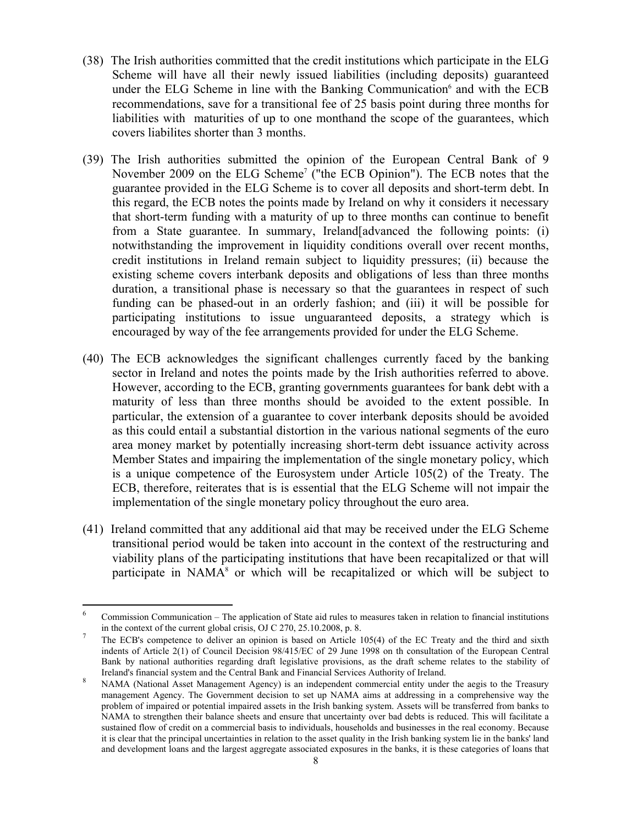- (38) The Irish authorities committed that the credit institutions which participate in the ELG Scheme will have all their newly issued liabilities (including deposits) guaranteed under the ELG Scheme in line with the Banking Communication $6$  and with the ECB recommendations, save for a transitional fee of 25 basis point during three months for liabilities with maturities of up to one monthand the scope of the guarantees, which covers liabilites shorter than 3 months.
- (39) The Irish authorities submitted the opinion of the European Central Bank of 9 November 2009 on the ELG Scheme<sup>7</sup> ("the ECB Opinion"). The ECB notes that the guarantee provided in the ELG Scheme is to cover all deposits and short-term debt. In this regard, the ECB notes the points made by Ireland on why it considers it necessary that short-term funding with a maturity of up to three months can continue to benefit from a State guarantee. In summary, Ireland[advanced the following points: (i) notwithstanding the improvement in liquidity conditions overall over recent months, credit institutions in Ireland remain subject to liquidity pressures; (ii) because the existing scheme covers interbank deposits and obligations of less than three months duration, a transitional phase is necessary so that the guarantees in respect of such funding can be phased-out in an orderly fashion; and (iii) it will be possible for participating institutions to issue unguaranteed deposits, a strategy which is encouraged by way of the fee arrangements provided for under the ELG Scheme.
- (40) The ECB acknowledges the significant challenges currently faced by the banking sector in Ireland and notes the points made by the Irish authorities referred to above. However, according to the ECB, granting governments guarantees for bank debt with a maturity of less than three months should be avoided to the extent possible. In particular, the extension of a guarantee to cover interbank deposits should be avoided as this could entail a substantial distortion in the various national segments of the euro area money market by potentially increasing short-term debt issuance activity across Member States and impairing the implementation of the single monetary policy, which is a unique competence of the Eurosystem under Article 105(2) of the Treaty. The ECB, therefore, reiterates that is is essential that the ELG Scheme will not impair the implementation of the single monetary policy throughout the euro area.
- (41) Ireland committed that any additional aid that may be received under the ELG Scheme transitional period would be taken into account in the context of the restructuring and viability plans of the participating institutions that have been recapitalized or that will participate in NAMA<sup>8</sup> or which will be recapitalized or which will be subject to

 6 Commission Communication – The application of State aid rules to measures taken in relation to financial institutions in the context of the current global crisis, OJ C 270, 25.10.2008, p. 8.  $\frac{7}{100}$  The EGD's assumptions to deliver an enjoining is based and driving all

The ECB's competence to deliver an opinion is based on Article 105(4) of the EC Treaty and the third and sixth indents of Article 2(1) of Council Decision 98/415/EC of 29 June 1998 on th consultation of the European Central Bank by national authorities regarding draft legislative provisions, as the draft scheme relates to the stability of Ireland's financial system and the Central Bank and Financial Services Authority of Ireland.

NAMA (National Asset Management Agency) is an independent commercial entity under the aegis to the Treasury management Agency. The Government decision to set up NAMA aims at addressing in a comprehensive way the problem of impaired or potential impaired assets in the Irish banking system. Assets will be transferred from banks to NAMA to strengthen their balance sheets and ensure that uncertainty over bad debts is reduced. This will facilitate a sustained flow of credit on a commercial basis to individuals, households and businesses in the real economy. Because it is clear that the principal uncertainties in relation to the asset quality in the Irish banking system lie in the banks' land and development loans and the largest aggregate associated exposures in the banks, it is these categories of loans that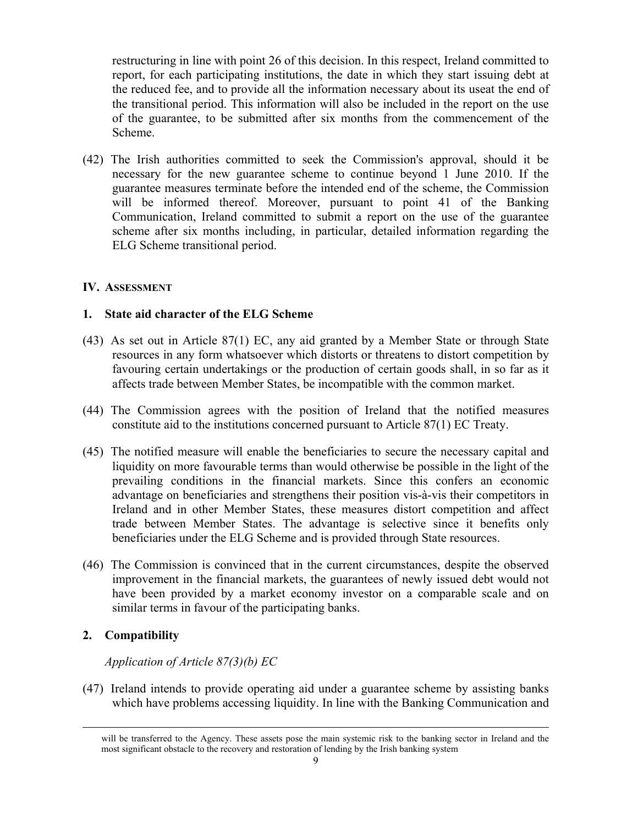restructuring in line with point 26 of this decision. In this respect, Ireland committed to report, for each participating institutions, the date in which they start issuing debt at the reduced fee, and to provide all the information necessary about its useat the end of the transitional period. This information will also be included in the report on the use of the guarantee, to be submitted after six months from the commencement of the Scheme.

(42) The Irish authorities committed to seek the Commission's approval, should it be necessary for the new guarantee scheme to continue beyond 1 June 2010. If the guarantee measures terminate before the intended end of the scheme, the Commission will be informed thereof. Moreover, pursuant to point 41 of the Banking Communication, Ireland committed to submit a report on the use of the guarantee scheme after six months including, in particular, detailed information regarding the ELG Scheme transitional period.

### **IV. ASSESSMENT**

### **1. State aid character of the ELG Scheme**

- (43) As set out in Article 87(1) EC, any aid granted by a Member State or through State resources in any form whatsoever which distorts or threatens to distort competition by favouring certain undertakings or the production of certain goods shall, in so far as it affects trade between Member States, be incompatible with the common market.
- (44) The Commission agrees with the position of Ireland that the notified measures constitute aid to the institutions concerned pursuant to Article 87(1) EC Treaty.
- (45) The notified measure will enable the beneficiaries to secure the necessary capital and liquidity on more favourable terms than would otherwise be possible in the light of the prevailing conditions in the financial markets. Since this confers an economic advantage on beneficiaries and strengthens their position vis-à-vis their competitors in Ireland and in other Member States, these measures distort competition and affect trade between Member States. The advantage is selective since it benefits only beneficiaries under the ELG Scheme and is provided through State resources.
- (46) The Commission is convinced that in the current circumstances, despite the observed improvement in the financial markets, the guarantees of newly issued debt would not have been provided by a market economy investor on a comparable scale and on similar terms in favour of the participating banks.

## **2. Compatibility**

## *Application of Article 87(3)(b) EC*

(47) Ireland intends to provide operating aid under a guarantee scheme by assisting banks which have problems accessing liquidity. In line with the Banking Communication and

will be transferred to the Agency. These assets pose the main systemic risk to the banking sector in Ireland and the most significant obstacle to the recovery and restoration of lending by the Irish banking system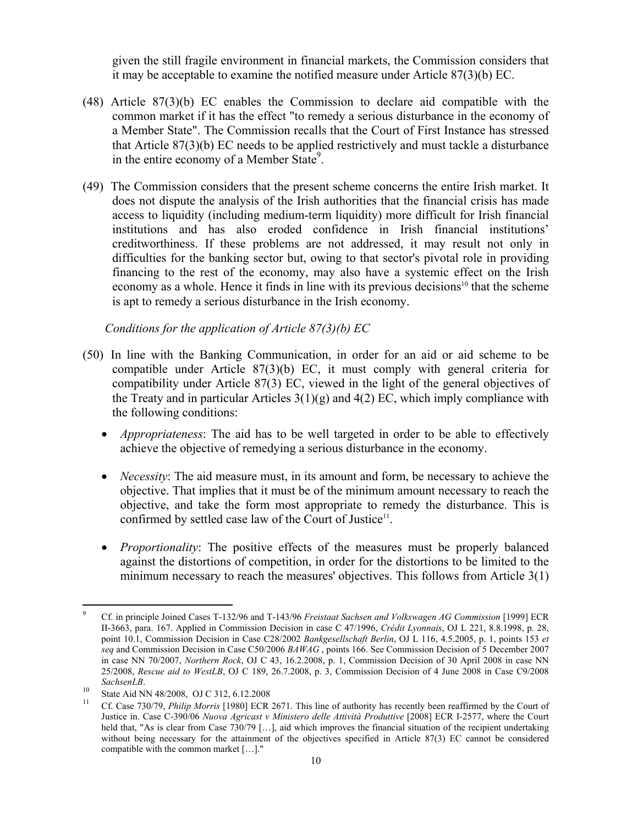given the still fragile environment in financial markets, the Commission considers that it may be acceptable to examine the notified measure under Article 87(3)(b) EC.

- (48) Article 87(3)(b) EC enables the Commission to declare aid compatible with the common market if it has the effect "to remedy a serious disturbance in the economy of a Member State". The Commission recalls that the Court of First Instance has stressed that Article 87(3)(b) EC needs to be applied restrictively and must tackle a disturbance in the entire economy of a Member State<sup>9</sup>.
- (49) The Commission considers that the present scheme concerns the entire Irish market. It does not dispute the analysis of the Irish authorities that the financial crisis has made access to liquidity (including medium-term liquidity) more difficult for Irish financial institutions and has also eroded confidence in Irish financial institutions' creditworthiness. If these problems are not addressed, it may result not only in difficulties for the banking sector but, owing to that sector's pivotal role in providing financing to the rest of the economy, may also have a systemic effect on the Irish economy as a whole. Hence it finds in line with its previous decisions<sup>10</sup> that the scheme is apt to remedy a serious disturbance in the Irish economy.

*Conditions for the application of Article 87(3)(b) EC*

- (50) In line with the Banking Communication, in order for an aid or aid scheme to be compatible under Article 87(3)(b) EC, it must comply with general criteria for compatibility under Article 87(3) EC, viewed in the light of the general objectives of the Treaty and in particular Articles  $3(1)(g)$  and  $4(2)$  EC, which imply compliance with the following conditions:
	- *Appropriateness*: The aid has to be well targeted in order to be able to effectively achieve the objective of remedying a serious disturbance in the economy.
	- *Necessity*: The aid measure must, in its amount and form, be necessary to achieve the objective. That implies that it must be of the minimum amount necessary to reach the objective, and take the form most appropriate to remedy the disturbance. This is confirmed by settled case law of the Court of Justice<sup>11</sup>.
	- *Proportionality*: The positive effects of the measures must be properly balanced against the distortions of competition, in order for the distortions to be limited to the minimum necessary to reach the measures' objectives. This follows from Article 3(1)

 $\overline{a}$ 

<sup>9</sup> Cf. in principle Joined Cases T-132/96 and T-143/96 *Freistaat Sachsen and Volkswagen AG Commission* [1999] ECR II-3663, para. 167. Applied in Commission Decision in case C 47/1996, *Crédit Lyonnais*, OJ L 221, 8.8.1998, p. 28, point 10.1, Commission Decision in Case C28/2002 *Bankgesellschaft Berlin*, OJ L 116, 4.5.2005, p. 1, points 153 *et seq* and Commission Decision in Case C50/2006 *BAWAG* , points 166. See Commission Decision of 5 December 2007 in case NN 70/2007, *Northern Rock*, OJ C 43, 16.2.2008, p. 1, Commission Decision of 30 April 2008 in case NN 25/2008, *Rescue aid to WestLB*, OJ C 189, 26.7.2008, p. 3, Commission Decision of 4 June 2008 in Case C9/2008

*SachsenLB*.<br><sup>10</sup> State Aid NN 48/2008, OJ C 312, 6.12.2008

<sup>11</sup> Cf. Case 730/79, *Philip Morris* [1980] ECR 2671. This line of authority has recently been reaffirmed by the Court of Justice in. Case C-390/06 *Nuova Agricast v Ministero delle Attività Produttive* [2008] ECR I-2577, where the Court held that, "As is clear from Case 730/79 [...], aid which improves the financial situation of the recipient undertaking without being necessary for the attainment of the objectives specified in Article 87(3) EC cannot be considered compatible with the common market […]."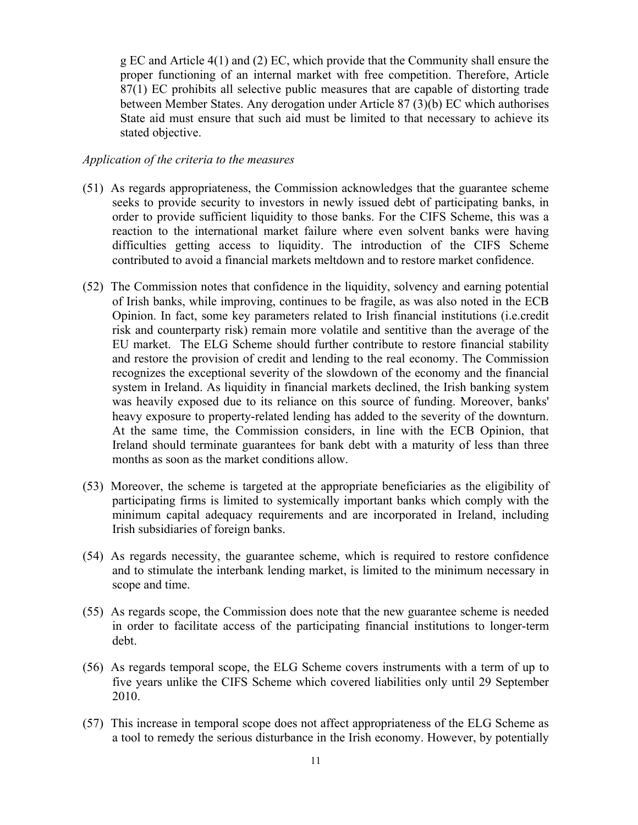g EC and Article 4(1) and (2) EC, which provide that the Community shall ensure the proper functioning of an internal market with free competition. Therefore, Article 87(1) EC prohibits all selective public measures that are capable of distorting trade between Member States. Any derogation under Article 87 (3)(b) EC which authorises State aid must ensure that such aid must be limited to that necessary to achieve its stated objective.

#### *Application of the criteria to the measures*

- (51) As regards appropriateness, the Commission acknowledges that the guarantee scheme seeks to provide security to investors in newly issued debt of participating banks, in order to provide sufficient liquidity to those banks. For the CIFS Scheme, this was a reaction to the international market failure where even solvent banks were having difficulties getting access to liquidity. The introduction of the CIFS Scheme contributed to avoid a financial markets meltdown and to restore market confidence.
- (52) The Commission notes that confidence in the liquidity, solvency and earning potential of Irish banks, while improving, continues to be fragile, as was also noted in the ECB Opinion. In fact, some key parameters related to Irish financial institutions (i.e.credit risk and counterparty risk) remain more volatile and sentitive than the average of the EU market. The ELG Scheme should further contribute to restore financial stability and restore the provision of credit and lending to the real economy. The Commission recognizes the exceptional severity of the slowdown of the economy and the financial system in Ireland. As liquidity in financial markets declined, the Irish banking system was heavily exposed due to its reliance on this source of funding. Moreover, banks' heavy exposure to property-related lending has added to the severity of the downturn. At the same time, the Commission considers, in line with the ECB Opinion, that Ireland should terminate guarantees for bank debt with a maturity of less than three months as soon as the market conditions allow.
- (53) Moreover, the scheme is targeted at the appropriate beneficiaries as the eligibility of participating firms is limited to systemically important banks which comply with the minimum capital adequacy requirements and are incorporated in Ireland, including Irish subsidiaries of foreign banks.
- (54) As regards necessity, the guarantee scheme, which is required to restore confidence and to stimulate the interbank lending market, is limited to the minimum necessary in scope and time.
- (55) As regards scope, the Commission does note that the new guarantee scheme is needed in order to facilitate access of the participating financial institutions to longer-term debt.
- (56) As regards temporal scope, the ELG Scheme covers instruments with a term of up to five years unlike the CIFS Scheme which covered liabilities only until 29 September 2010.
- (57) This increase in temporal scope does not affect appropriateness of the ELG Scheme as a tool to remedy the serious disturbance in the Irish economy. However, by potentially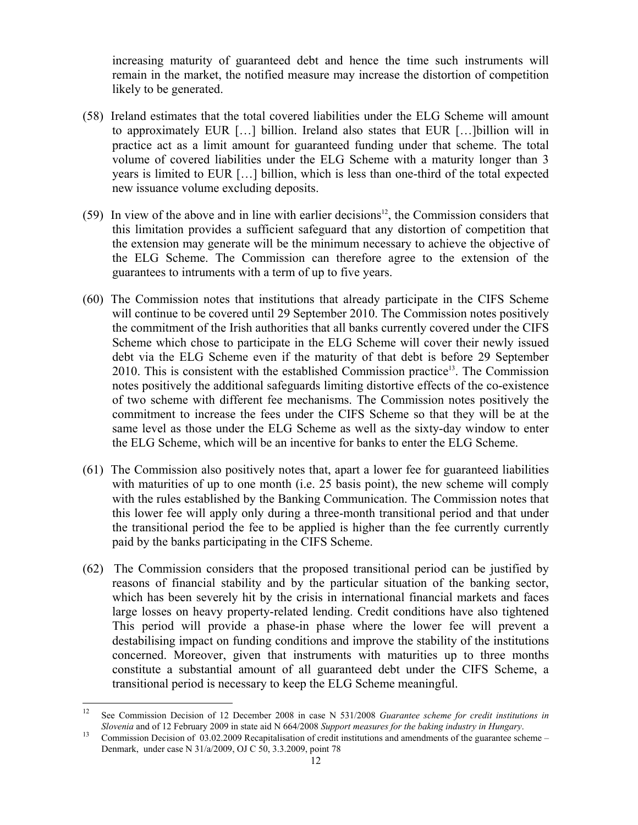increasing maturity of guaranteed debt and hence the time such instruments will remain in the market, the notified measure may increase the distortion of competition likely to be generated.

- (58) Ireland estimates that the total covered liabilities under the ELG Scheme will amount to approximately EUR […] billion. Ireland also states that EUR […]billion will in practice act as a limit amount for guaranteed funding under that scheme. The total volume of covered liabilities under the ELG Scheme with a maturity longer than 3 years is limited to EUR […] billion, which is less than one-third of the total expected new issuance volume excluding deposits.
- (59) In view of the above and in line with earlier decisions<sup>12</sup>, the Commission considers that this limitation provides a sufficient safeguard that any distortion of competition that the extension may generate will be the minimum necessary to achieve the objective of the ELG Scheme. The Commission can therefore agree to the extension of the guarantees to intruments with a term of up to five years.
- (60) The Commission notes that institutions that already participate in the CIFS Scheme will continue to be covered until 29 September 2010. The Commission notes positively the commitment of the Irish authorities that all banks currently covered under the CIFS Scheme which chose to participate in the ELG Scheme will cover their newly issued debt via the ELG Scheme even if the maturity of that debt is before 29 September 2010. This is consistent with the established Commission practice<sup>13</sup>. The Commission notes positively the additional safeguards limiting distortive effects of the co-existence of two scheme with different fee mechanisms. The Commission notes positively the commitment to increase the fees under the CIFS Scheme so that they will be at the same level as those under the ELG Scheme as well as the sixty-day window to enter the ELG Scheme, which will be an incentive for banks to enter the ELG Scheme.
- (61) The Commission also positively notes that, apart a lower fee for guaranteed liabilities with maturities of up to one month (i.e. 25 basis point), the new scheme will comply with the rules established by the Banking Communication. The Commission notes that this lower fee will apply only during a three-month transitional period and that under the transitional period the fee to be applied is higher than the fee currently currently paid by the banks participating in the CIFS Scheme.
- (62) The Commission considers that the proposed transitional period can be justified by reasons of financial stability and by the particular situation of the banking sector, which has been severely hit by the crisis in international financial markets and faces large losses on heavy property-related lending. Credit conditions have also tightened This period will provide a phase-in phase where the lower fee will prevent a destabilising impact on funding conditions and improve the stability of the institutions concerned. Moreover, given that instruments with maturities up to three months constitute a substantial amount of all guaranteed debt under the CIFS Scheme, a transitional period is necessary to keep the ELG Scheme meaningful.

 $\overline{a}$ 

<sup>12</sup> See Commission Decision of 12 December 2008 in case N 531/2008 *Guarantee scheme for credit institutions in*  Slovenia and of 12 February 2009 in state aid N 664/2008 Support measures for the baking industry in Hungary.<br><sup>13</sup> Commission Decision of 03.02.2009 Recapitalisation of credit institutions and amendments of the guarantee s

Denmark, under case N 31/a/2009, OJ C 50, 3.3.2009, point 78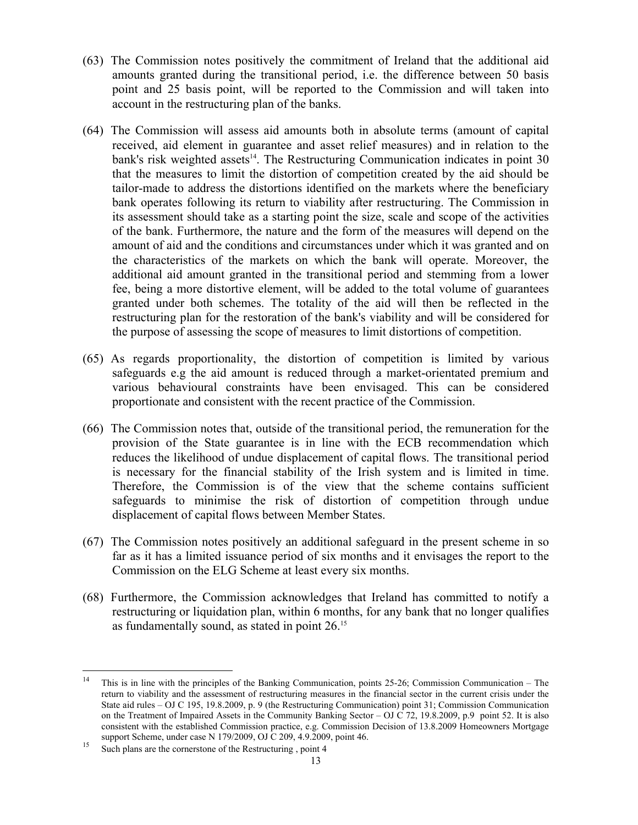- (63) The Commission notes positively the commitment of Ireland that the additional aid amounts granted during the transitional period, i.e. the difference between 50 basis point and 25 basis point, will be reported to the Commission and will taken into account in the restructuring plan of the banks.
- (64) The Commission will assess aid amounts both in absolute terms (amount of capital received, aid element in guarantee and asset relief measures) and in relation to the bank's risk weighted assets $14$ . The Restructuring Communication indicates in point 30 that the measures to limit the distortion of competition created by the aid should be tailor-made to address the distortions identified on the markets where the beneficiary bank operates following its return to viability after restructuring. The Commission in its assessment should take as a starting point the size, scale and scope of the activities of the bank. Furthermore, the nature and the form of the measures will depend on the amount of aid and the conditions and circumstances under which it was granted and on the characteristics of the markets on which the bank will operate. Moreover, the additional aid amount granted in the transitional period and stemming from a lower fee, being a more distortive element, will be added to the total volume of guarantees granted under both schemes. The totality of the aid will then be reflected in the restructuring plan for the restoration of the bank's viability and will be considered for the purpose of assessing the scope of measures to limit distortions of competition.
- (65) As regards proportionality, the distortion of competition is limited by various safeguards e.g the aid amount is reduced through a market-orientated premium and various behavioural constraints have been envisaged. This can be considered proportionate and consistent with the recent practice of the Commission.
- (66) The Commission notes that, outside of the transitional period, the remuneration for the provision of the State guarantee is in line with the ECB recommendation which reduces the likelihood of undue displacement of capital flows. The transitional period is necessary for the financial stability of the Irish system and is limited in time. Therefore, the Commission is of the view that the scheme contains sufficient safeguards to minimise the risk of distortion of competition through undue displacement of capital flows between Member States.
- (67) The Commission notes positively an additional safeguard in the present scheme in so far as it has a limited issuance period of six months and it envisages the report to the Commission on the ELG Scheme at least every six months.
- (68) Furthermore, the Commission acknowledges that Ireland has committed to notify a restructuring or liquidation plan, within 6 months, for any bank that no longer qualifies as fundamentally sound, as stated in point 26.15

 $14$ 14 This is in line with the principles of the Banking Communication, points 25-26; Commission Communication – The return to viability and the assessment of restructuring measures in the financial sector in the current crisis under the State aid rules – OJ C 195, 19.8.2009, p. 9 (the Restructuring Communication) point 31; Commission Communication on the Treatment of Impaired Assets in the Community Banking Sector – OJ C 72, 19.8.2009, p.9 point 52. It is also consistent with the established Commission practice, e.g. Commission Decision of 13.8.2009 Homeowners Mortgage support Scheme, under case N 179/2009, OJ C 209, 4.9.2009, point 46.<br>
Such plans are the cornerstone of the Restructuring , point 4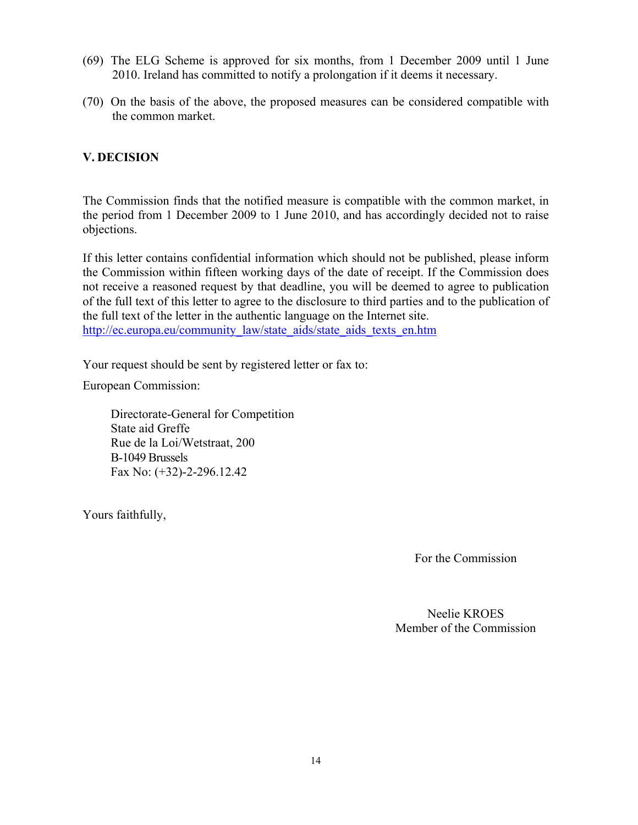- (69) The ELG Scheme is approved for six months, from 1 December 2009 until 1 June 2010. Ireland has committed to notify a prolongation if it deems it necessary.
- (70) On the basis of the above, the proposed measures can be considered compatible with the common market.

## **V. DECISION**

The Commission finds that the notified measure is compatible with the common market, in the period from 1 December 2009 to 1 June 2010, and has accordingly decided not to raise objections.

If this letter contains confidential information which should not be published, please inform the Commission within fifteen working days of the date of receipt. If the Commission does not receive a reasoned request by that deadline, you will be deemed to agree to publication of the full text of this letter to agree to the disclosure to third parties and to the publication of the full text of the letter in the authentic language on the Internet site. http://ec.europa.eu/community\_law/state\_aids/state\_aids\_texts\_en.htm

Your request should be sent by registered letter or fax to:

European Commission:

Directorate-General for Competition State aid Greffe Rue de la Loi/Wetstraat, 200 B-1049 Brussels Fax No: (+32)-2-296.12.42

Yours faithfully,

For the Commission

Neelie KROES Member of the Commission